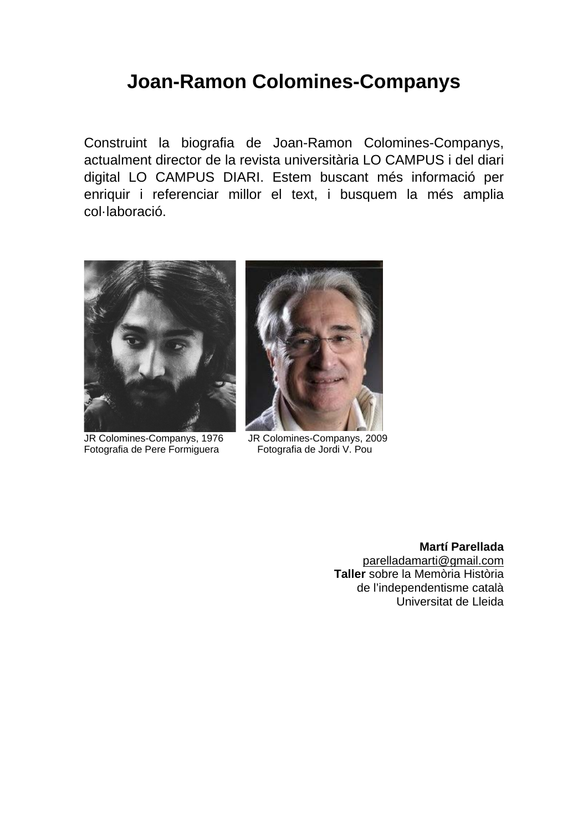# **Joan-Ramon Colomines-Companys**

Construint la biografia de Joan-Ramon Colomines-Companys, actualment director de la revista universitària LO CAMPUS i del diari digital LO CAMPUS DIARI. Estem buscant més informació per enriquir i referenciar millor el text, i busquem la més amplia col·laboració.



JR Colomines-Companys, 1976 JR Colomines-Companys, 2009<br>Fotografia de Pere Formiquera Fotografia de Jordi V. Pou Fotografia de Pere Formiguera



**Martí Parellada** [parelladamarti@gmail.com](mailto:parelladamarti@gmail.com) **Taller** sobre la Memòria Història de l'independentisme català Universitat de Lleida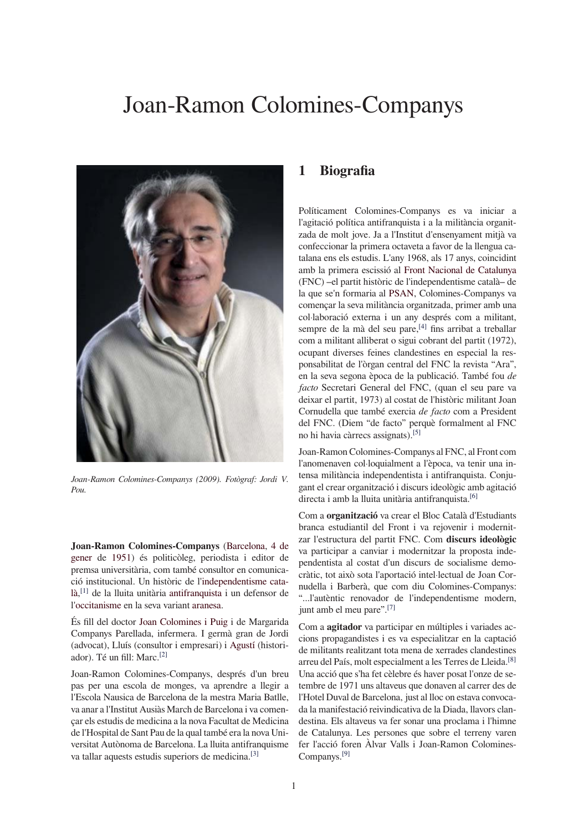# Joan-Ramon Colomines-Companys



Joan-Ramon Colomines-Companys (2009). Fotògraf: Jordi V.  $P_{OU}$ 

Joan-Ramon Colomines-Companys (Barcelona, 4 de gener de 1951) és politicòleg, periodista i editor de premsa universitària, com també consultor en comunicació institucional. Un històric de l'independentisme català, [1] de la lluita unitària antifranquista i un defensor de l'occitanisme en la seva variant aranesa.

És fill del doctor Joan Colomines i Puig i de Margarida Companys Parellada, infermera. I germà gran de Jordi (advocat), Lluís (consultor i empresari) i Agustí (historiador). Té un fill: Marc.<sup>[2]</sup>

Joan-Ramon Colomines-Companys, després d'un breu pas per una escola de monges, va aprendre a llegir a l'Escola Nausica de Barcelona de la mestra Maria Batlle, va anar a l'Institut Ausiàs March de Barcelona i va comencar els estudis de medicina a la nova Facultat de Medicina de l'Hospital de Sant Pau de la qual també era la nova Universitat Autònoma de Barcelona. La lluita antifranquisme va tallar aquests estudis superiors de medicina.<sup>[3]</sup>

### $\mathbf{1}$ **Biografia**

Políticament Colomines-Companys es va iniciar a l'agitació política antifranquista i a la militància organitzada de molt jove. Ja a l'Institut d'ensenvament mitià va confeccionar la primera octaveta a favor de la llengua catalana ens els estudis. L'any 1968, als 17 anys, coincidint amb la primera escissió al Front Nacional de Catalunya (FNC) - el partit històric de l'independentisme català - de la que se'n formaria al PSAN, Colomines-Companys va començar la seva militància organitzada, primer amb una col·laboració externa i un any després com a militant, sempre de la mà del seu pare,<sup>[4]</sup> fins arribat a treballar com a militant alliberat o sigui cobrant del partit (1972), ocupant diverses feines clandestines en especial la responsabilitat de l'òrgan central del FNC la revista "Ara", en la seva segona època de la publicació. També fou de facto Secretari General del FNC, (quan el seu pare va deixar el partit, 1973) al costat de l'històric militant Joan Cornudella que també exercia de facto com a President del FNC. (Diem "de facto" perquè formalment al FNC no hi havia càrrecs assignats).<sup>[5]</sup>

Joan-Ramon Colomines-Companys al FNC, al Front com l'anomenaven col·loquialment a l'època, va tenir una intensa militància independentista i antifranquista. Conjugant el crear organització i discurs ideològic amb agitació directa i amb la lluita unitària antifranquista.<sup>[6]</sup>

Com a **organització** va crear el Bloc Català d'Estudiants branca estudiantil del Front i va rejovenir i modernitzar l'estructura del partit FNC. Com discurs ideològic va participar a canviar i modernitzar la proposta independentista al costat d'un discurs de socialisme democràtic, tot això sota l'aportació intel·lectual de Joan Cornudella i Barberà, que com diu Colomines-Companys: "...l'autèntic renovador de l'independentisme modern, junt amb el meu pare".[7]

Com a **agitador** va participar en múltiples i variades accions propagandistes i es va especialitzar en la captació de militants realitzant tota mena de xerrades clandestines arreu del País, molt especialment a les Terres de Lleida.<sup>[8]</sup> Una acció que s'ha fet cèlebre és haver posat l'onze de setembre de 1971 uns altaveus que donaven al carrer des de l'Hotel Duval de Barcelona, just al lloc on estava convocada la manifestació reivindicativa de la Diada. llavors clandestina. Els altaveus va fer sonar una proclama i l'himne de Catalunya. Les persones que sobre el terreny varen fer l'acció foren Àlvar Valls i Joan-Ramon Colomines-Companys.<sup>[9]</sup>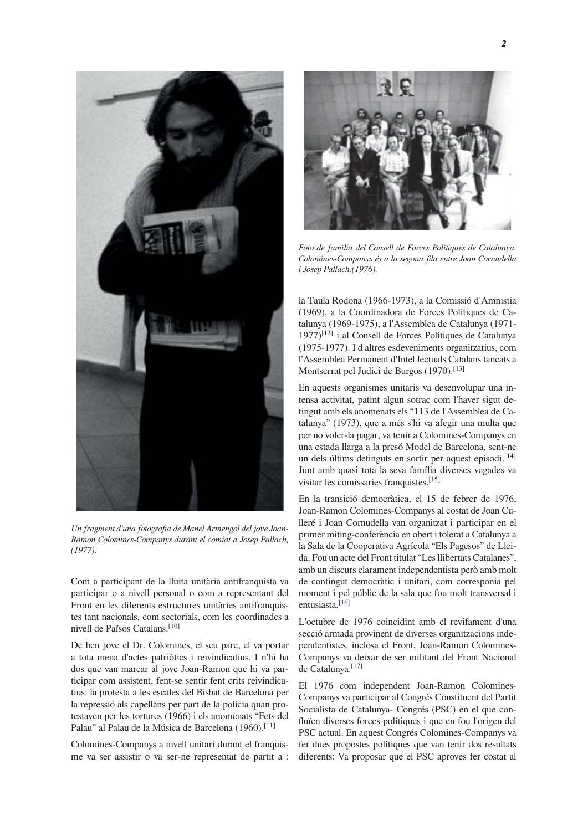

Un fragment d'una fotografia de Manel Armengol del jove Joan-Ramon Colomines-Companys durant el comiat a Josep Pallach,  $(1977)$ .

Com a participant de la lluita unitària antifranquista va participar o a nivell personal o com a representant del Front en les diferents estructures unitàries antifranquistes tant nacionals, com sectorials, com les coordinades a nivell de Països Catalans.<sup>[10]</sup>

De ben jove el Dr. Colomines, el seu pare, el va portar a tota mena d'actes patriòtics i reivindicatius. I n'hi ha dos que van marcar al jove Joan-Ramon que hi va participar com assistent, fent-se sentir fent crits reivindicatius: la protesta a les escales del Bisbat de Barcelona per la repressió als capellans per part de la policia quan protestaven per les tortures (1966) i els anomenats "Fets del Palau" al Palau de la Música de Barcelona (1960).<sup>[11]</sup>

Colomines-Companys a nivell unitari durant el franquisme va ser assistir o va ser-ne representat de partit a :



Foto de família del Consell de Forces Polítiques de Catalunya. Colomines-Companys és a la segona fila entre Joan Cornudella i Josep Pallach.(1976).

la Taula Rodona (1966-1973), a la Comissió d'Amnistia (1969), a la Coordinadora de Forces Polítiques de Catalunya (1969-1975), a l'Assemblea de Catalunya (1971- $1977$ <sup>[12]</sup> i al Consell de Forces Polítiques de Catalunya (1975-1977). I d'altres esdeveniments organitzatius, com l'Assemblea Permanent d'Intel·lectuals Catalans tancats a Montserrat pel Judici de Burgos (1970).<sup>[13]</sup>

En aquests organismes unitaris va desenvolupar una intensa activitat, patint algun sotrac com l'haver sigut detingut amb els anomenats els "113 de l'Assemblea de Catalunya" (1973), que a més s'hi va afegir una multa que per no voler-la pagar, va tenir a Colomines-Companys en una estada llarga a la presó Model de Barcelona, sent-ne un dels últims detinguts en sortir per aquest episodi.<sup>[14]</sup> Junt amb quasi tota la seva família diverses vegades va visitar les comissaries franquistes.<sup>[15]</sup>

En la transició democràtica, el 15 de febrer de 1976, Joan-Ramon Colomines-Companys al costat de Joan Culleré i Joan Cornudella van organitzat i participar en el primer míting-conferència en obert i tolerat a Catalunya a la Sala de la Cooperativa Agrícola "Els Pagesos" de Lleida. Fou un acte del Front titulat "Les llibertats Catalanes", amb un discurs clarament independentista però amb molt de contingut democràtic i unitari, com corresponia pel moment i pel públic de la sala que fou molt transversal i entusiasta.<sup>[16]</sup>

L'octubre de 1976 coincidint amb el revifament d'una secció armada provinent de diverses organitzacions independentistes, inclosa el Front, Joan-Ramon Colomines-Companys va deixar de ser militant del Front Nacional de Catalunya.<sup>[17]</sup>

El 1976 com independent Joan-Ramon Colomines-Companys va participar al Congrés Constituent del Partit Socialista de Catalunya- Congrés (PSC) en el que confluïen diverses forces polítiques i que en fou l'origen del PSC actual. En aquest Congrés Colomines-Companys va fer dues propostes polítiques que van tenir dos resultats diferents: Va proposar que el PSC aproves fer costat al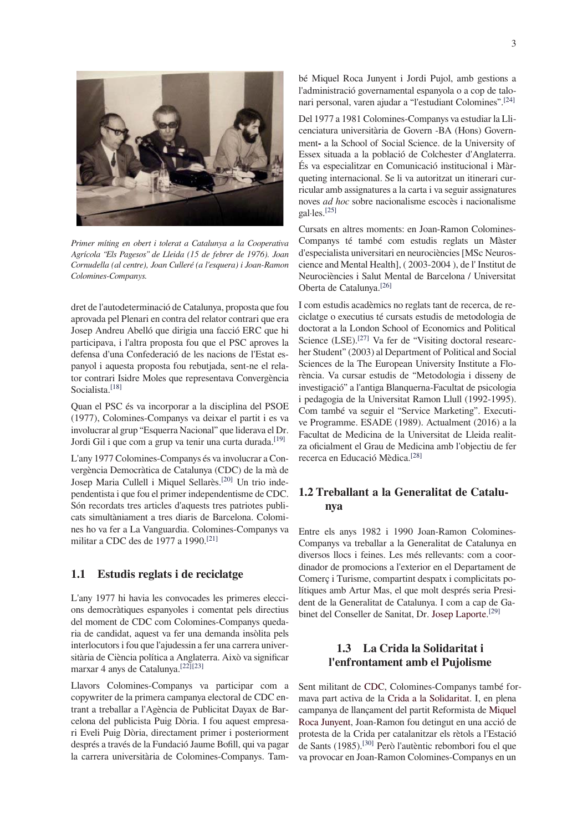

Primer míting en obert i tolerat a Catalunya a la Cooperativa Agrícola "Els Pagesos" de Lleida (15 de febrer de 1976). Joan Cornudella (al centre), Joan Culleré (a l'esquera) i Joan-Ramon Colomines-Companys.

dret de l'autodeterminació de Catalunya, proposta que fou aprovada pel Plenari en contra del relator contrari que era Josep Andreu Abelló que dirigia una facció ERC que hi participava, i l'altra proposta fou que el PSC aproves la defensa d'una Confederació de les nacions de l'Estat espanyol i aquesta proposta fou rebutjada, sent-ne el relator contrari Isidre Moles que representava Convergència Socialista.<sup>[18]</sup>

Quan el PSC és va incorporar a la disciplina del PSOE (1977), Colomines-Companys va deixar el partit i es va involucrar al grup "Esquerra Nacional" que liderava el Dr. Jordi Gil i que com a grup va tenir una curta durada.<sup>[19]</sup>

L'any 1977 Colomines-Companys és va involucrar a Convergència Democràtica de Catalunya (CDC) de la mà de Josep Maria Cullell i Miquel Sellarès.<sup>[20]</sup> Un trio independentista i que fou el primer independentisme de CDC. Són recordats tres articles d'aquests tres patriotes publicats simultàniament a tres diaris de Barcelona. Colomines ho va fer a La Vanguardia. Colomines-Companys va militar a CDC des de 1977 a 1990.<sup>[21]</sup>

#### Estudis reglats i de reciclatge  $1.1$

L'any 1977 hi havia les convocades les primeres eleccions democràtiques espanyoles i comentat pels directius del moment de CDC com Colomines-Companys quedaria de candidat, aquest va fer una demanda insòlita pels interlocutors i fou que l'ajudessin a fer una carrera universitària de Ciència política a Anglaterra. Això va significar marxar 4 anys de Catalunya.<sup>[22][23]</sup>

Llavors Colomines-Companys va participar com a copywriter de la primera campanya electoral de CDC entrant a treballar a l'Agència de Publicitat Dayax de Barcelona del publicista Puig Dòria. I fou aquest empresari Eveli Puig Dòria, directament primer i posteriorment després a través de la Fundació Jaume Bofill, qui va pagar la carrera universitària de Colomines-Companys. També Miquel Roca Junyent i Jordi Pujol, amb gestions a l'administració governamental espanyola o a cop de talonari personal, varen ajudar a "l'estudiant Colomines".<sup>[24]</sup>

Del 1977 a 1981 Colomines-Companys va estudiar la Llicenciatura universitària de Govern -BA (Hons) Government- a la School of Social Science. de la University of Essex situada a la població de Colchester d'Anglaterra. És va especialitzar en Comunicació institucional i Màrqueting internacional. Se li va autoritzat un itinerari curricular amb assignatures a la carta i va seguir assignatures noves *ad hoc* sobre nacionalisme escocès i nacionalisme gal·les.[25]

Cursats en altres moments: en Joan-Ramon Colomines-Companys té també com estudis reglats un Màster d'especialista universitari en neurociències [MSc Neuroscience and Mental Health], (2003-2004), de l'Institut de Neurociències i Salut Mental de Barcelona / Universitat Oberta de Catalunya.<sup>[26]</sup>

I com estudis acadèmics no reglats tant de recerca, de reciclatge o executius té cursats estudis de metodologia de doctorat a la London School of Economics and Political Science (LSE).<sup>[27]</sup> Va fer de "Visiting doctoral researcher Student" (2003) al Department of Political and Social Sciences de la The European University Institute a Florència. Va cursar estudis de "Metodologia i disseny de investigació" a l'antiga Blanquerna-Facultat de psicologia i pedagogia de la Universitat Ramon Llull (1992-1995). Com també va seguir el "Service Marketing". Executive Programme. ESADE (1989). Actualment (2016) a la Facultat de Medicina de la Universitat de Lleida realitza oficialment el Grau de Medicina amb l'objectiu de fer recerca en Educació Mèdica.<sup>[28]</sup>

## 1.2 Treballant a la Generalitat de Catalunva

Entre els anys 1982 i 1990 Joan-Ramon Colomines-Companys va treballar a la Generalitat de Catalunya en diversos llocs i feines. Les més rellevants: com a coordinador de promocions a l'exterior en el Departament de Comerc i Turisme, compartint despatx i complicitats polítiques amb Artur Mas, el que molt després seria President de la Generalitat de Catalunya. I com a cap de Gabinet del Conseller de Sanitat, Dr. Josep Laporte.<sup>[29]</sup>

# 1.3 La Crida la Solidaritat i l'enfrontament amb el Pujolisme

Sent militant de CDC. Colomines-Companys també formava part activa de la Crida a la Solidaritat. I, en plena campanya de llançament del partit Reformista de Miquel Roca Junyent, Joan-Ramon fou detingut en una acció de protesta de la Crida per catalanitzar els rètols a l'Estació de Sants (1985).<sup>[30]</sup> Però l'autèntic rebombori fou el que va provocar en Joan-Ramon Colomines-Companys en un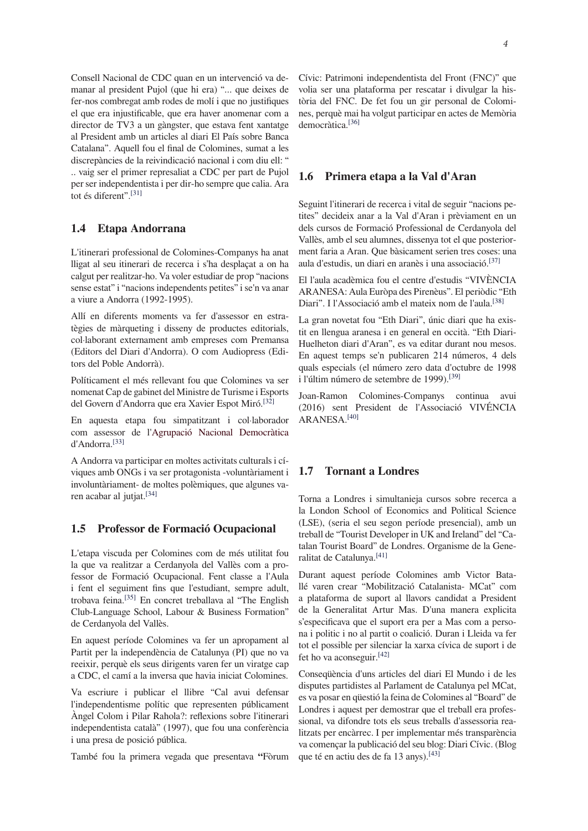Consell Nacional de CDC quan en un intervenció va demanar al president Pujol (que hi era) "... que deixes de fer-nos combregat amb rodes de molí i que no justifiques el que era injustificable, que era haver anomenar com a director de TV3 a un gàngster, que estava fent xantatge al President amb un articles al diari El País sobre Banca Catalana". Aquell fou el final de Colomines, sumat a les discrepàncies de la reivindicació nacional i com diu ell: " .. vaig ser el primer represaliat a CDC per part de Pujol per ser independentista i per dir-ho sempre que calia. Ara tot és diferent".[31]

#### $1.4$ Etapa Andorrana

L'itinerari professional de Colomines-Companys ha anat lligat al seu itinerari de recerca i s'ha desplaçat a on ha calgut per realitzar-ho. Va voler estudiar de prop "nacions" sense estat" i "nacions independents petites" i se'n va anar a viure a Andorra (1992-1995).

Allí en diferents moments va fer d'assessor en estratègies de màrqueting i disseny de productes editorials, col·laborant externament amb empreses com Premansa (Editors del Diari d'Andorra). O com Audiopress (Editors del Poble Andorrà).

Políticament el més rellevant fou que Colomines va ser nomenat Cap de gabinet del Ministre de Turisme i Esports del Govern d'Andorra que era Xavier Espot Miró.<sup>[32]</sup>

En aquesta etapa fou simpatitzant i col·laborador com assessor de l'Agrupació Nacional Democràtica d'Andorra.<sup>[33]</sup>

A Andorra va participar en moltes activitats culturals i cíviques amb ONGs i va ser protagonista -voluntàriament i involuntàriament- de moltes polèmiques, que algunes varen acabar al jutjat.<sup>[34]</sup>

#### Professor de Formació Ocupacional 1.5

L'etapa viscuda per Colomines com de més utilitat fou la que va realitzar a Cerdanyola del Vallès com a professor de Formació Ocupacional. Fent classe a l'Aula i fent el seguiment fins que l'estudiant, sempre adult, trobava feina.<sup>[35]</sup> En concret treballava al "The English Club-Language School, Labour & Business Formation" de Cerdanyola del Vallès.

En aquest període Colomines va fer un apropament al Partit per la independència de Catalunya (PI) que no va reeixir, perquè els seus dirigents varen fer un viratge cap a CDC, el camí a la inversa que havia iniciat Colomines.

Va escriure i publicar el llibre "Cal avui defensar l'independentisme polític que representen públicament Àngel Colom i Pilar Rahola?: reflexions sobre l'itinerari independentista català" (1997), que fou una conferència i una presa de posició pública.

També fou la primera vegada que presentava "Fòrum

Cívic: Patrimoni independentista del Front (FNC)" que volia ser una plataforma per rescatar i divulgar la història del FNC. De fet fou un gir personal de Colomines, perquè mai ha volgut participar en actes de Memòria democràtica.<sup>[36]</sup>

#### 1.6 Primera etapa a la Val d'Aran

Seguint l'itinerari de recerca i vital de seguir "nacions petites" decideix anar a la Val d'Aran i prèviament en un dels cursos de Formació Professional de Cerdanyola del Vallès, amb el seu alumnes, dissenya tot el que posteriorment faria a Aran. Que bàsicament serien tres coses: una aula d'estudis, un diari en aranès i una associació.<sup>[37]</sup>

El l'aula acadèmica fou el centre d'estudis "VIVÈNCIA ARANESA: Aula Euròpa des Pirenèus". El periòdic "Eth Diari". I l'Associació amb el mateix nom de l'aula.<sup>[38]</sup>

La gran novetat fou "Eth Diari", únic diari que ha existit en llengua aranesa i en general en occità. "Eth Diari-Huelheton diari d'Aran", es va editar durant nou mesos. En aquest temps se'n publicaren 214 números, 4 dels quals especials (el número zero data d'octubre de 1998 i l'últim número de setembre de 1999).<sup>[39]</sup>

Joan-Ramon Colomines-Companys continua avui (2016) sent President de l'Associació VIVÉNCIA ARANESA  $[40]$ 

#### **Tornant a Londres**  $1.7$

Torna a Londres i simultanieja cursos sobre recerca a la London School of Economics and Political Science (LSE), (seria el seu segon període presencial), amb un treball de "Tourist Developer in UK and Ireland" del "Catalan Tourist Board" de Londres. Organisme de la Generalitat de Catalunya.<sup>[41]</sup>

Durant aquest període Colomines amb Victor Batallé varen crear "Mobilització Catalanista- MCat" com a plataforma de suport al llavors candidat a President de la Generalitat Artur Mas. D'una manera explicita s'especificava que el suport era per a Mas com a persona i politic i no al partit o coalició. Duran i Lleida va fer tot el possible per silenciar la xarxa cívica de suport i de fet ho va aconseguir.<sup>[42]</sup>

Consequència d'uns articles del diari El Mundo i de les disputes partidistes al Parlament de Catalunya pel MCat, es va posar en questió la feina de Colomines al "Board" de Londres i aquest per demostrar que el treball era professional, va difondre tots els seus treballs d'assessoria realitzats per encàrrec. I per implementar més transparència va començar la publicació del seu blog: Diari Cívic. (Blog que té en actiu des de fa 13 anys).<sup>[43]</sup>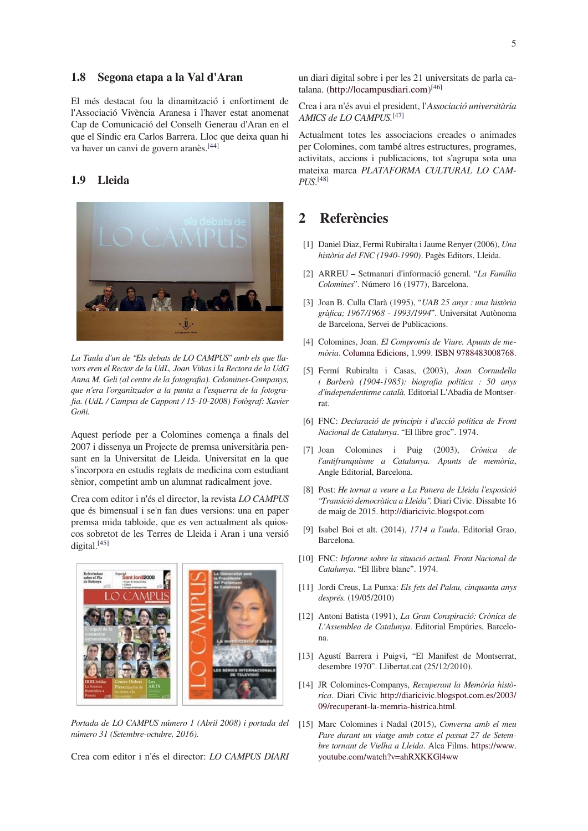#### 1.8 Segona etapa a la Val d'Aran

El més destacat fou la dinamització i enfortiment de l'Associació Vivència Aranesa i l'haver estat anomenat Cap de Comunicació del Conselh Generau d'Aran en el que el Síndic era Carlos Barrera. Lloc que deixa quan hi va haver un canvi de govern aranès.<sup>[44]</sup>

#### $1.9$ **Lleida**



La Taula d'un de "Els debats de LO CAMPUS" amb els que llavors eren el Rector de la UdL, Joan Viñas i la Rectora de la UdG Anna M. Geli (al centre de la fotografia). Colomines-Companys, que n'era l'organitzador a la punta a l'esquerra de la fotografia. (UdL / Campus de Cappont / 15-10-2008) Fotògraf: Xavier Goñi.

Aquest període per a Colomines comença a finals del 2007 i dissenya un Projecte de premsa universitària pensant en la Universitat de Lleida. Universitat en la que s'incorpora en estudis reglats de medicina com estudiant sènior, competint amb un alumnat radicalment jove.

Crea com editor i n'és el director, la revista LO CAMPUS que és bimensual i se'n fan dues versions: una en paper premsa mida tabloide, que es ven actualment als quioscos sobretot de les Terres de Lleida i Aran i una versió digital.[45]



Portada de LO CAMPUS número 1 (Abril 2008) i portada del número 31 (Setembre-octubre, 2016).

Crea com editor i n'és el director: LO CAMPUS DIARI

un diari digital sobre i per les 21 universitats de parla catalana. (http://locampusdiari.com) $[46]$ 

Crea i ara n'és avui el president, l'Associació universitària AMICS de LO CAMPUS.<sup>[47]</sup>

Actualment totes les associacions creades o animades per Colomines, com també altres estructures, programes, activitats, accions i publicacions, tot s'agrupa sota una mateixa marca PLATAFORMA CULTURAL LO CAM- $PI$ <sub>IS</sub> $[48]$ 

### **Referències**  $\mathcal{D}_{\mathcal{L}}$

- [1] Daniel Diaz, Fermi Rubiralta i Jaume Renyer (2006), Una història del FNC (1940-1990). Pagès Editors, Lleida.
- [2] ARREU Setmanari d'informació general. "La Família Colomines". Número 16 (1977), Barcelona.
- [3] Joan B. Culla Clarà (1995), "UAB 25 anys : una història gràfica; 1967/1968 - 1993/1994". Universitat Autònoma de Barcelona, Servei de Publicacions.
- [4] Colomines, Joan. El Compromís de Viure. Apunts de memòria. Columna Edicions, 1.999. ISBN 9788483008768.
- [5] Fermí Rubiralta i Casas, (2003), Joan Cornudella i Barberà (1904-1985): biografia política : 50 anys d'independentisme català. Editorial L'Abadia de Montserrat.
- [6] FNC: Declaració de principis i d'acció política de Front Nacional de Catalunya. "El llibre groc". 1974.
- [7] Joan Colomines i Puig (2003), Crònica  $de$ l'antifranquisme a Catalunya. Apunts de memòria, Angle Editorial, Barcelona.
- [8] Post: He tornat a veure a La Panera de Lleida l'exposició "Transició democràtica a Lleida". Diari Cívic. Dissabte 16 de maig de 2015. http://diaricivic.blogspot.com
- [9] Isabel Boi et alt. (2014), 1714 a l'aula. Editorial Grao, Barcelona.
- [10] FNC: Informe sobre la situació actual. Front Nacional de Catalunya. "El llibre blanc". 1974.
- [11] Jordi Creus, La Punxa: Els fets del Palau, cinquanta anys després. (19/05/2010)
- [12] Antoni Batista (1991), La Gran Conspiració: Crònica de L'Assemblea de Catalunya. Editorial Empúries, Barcelona.
- [13] Agustí Barrera i Puigví, "El Manifest de Montserrat, desembre 1970". Llibertat.cat (25/12/2010).
- [14] JR Colomines-Companys, Recuperant la Memòria històrica. Diari Cívic http://diaricivic.blogspot.com.es/2003/ 09/recuperant-la-memria-histrica.html.
- [15] Marc Colomines i Nadal (2015), Conversa amb el meu Pare durant un viatge amb cotxe el passat 27 de Setembre tornant de Vielha a Lleida. Alca Films. https://www. youtube.com/watch?v=ahRXKKGl4ww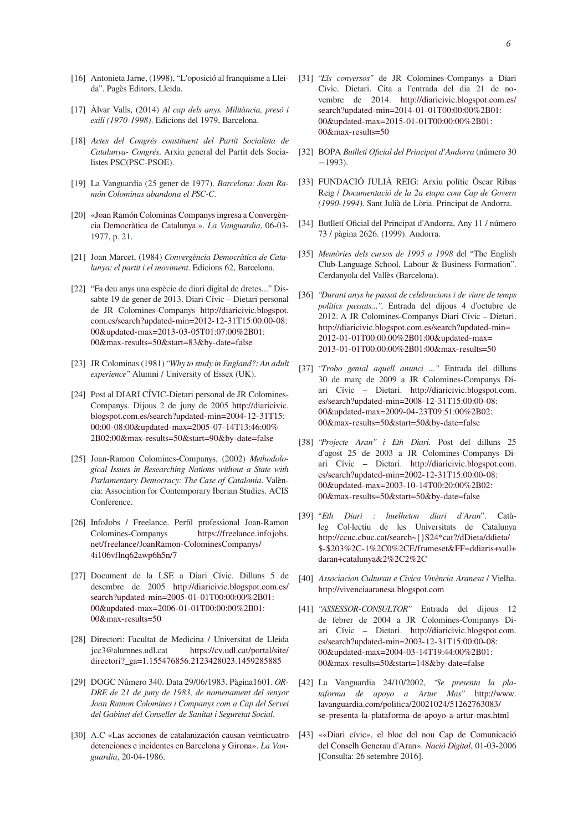- [16] Antonieta Jarne, (1998), "L'oposició al franquisme a Lleida". Pagès Editors, Lleida.
- [17] Àlvar Valls, (2014) Al cap dels anys. Militància, presó i exili (1970-1998). Edicions del 1979, Barcelona.
- [18] Actes del Congrés constituent del Partit Socialista de Catalunya- Congrés. Arxiu general del Partit dels Socialistes PSC(PSC-PSOE).
- [19] La Vanguardia (25 gener de 1977). Barcelona: Joan Ramón Colominas abandona el PSC-C.
- [20] «Joan Ramón Colominas Companys ingresa a Convergència Democràtica de Catalunya.». La Vanguardia, 06-03-1977, p. 21.
- [21] Joan Marcet, (1984) Convergència Democràtica de Catalunya: el partit i el moviment. Edicions 62, Barcelona.
- [22] "Fa deu anys una espècie de diari digital de dretes..." Dissabte 19 de gener de 2013. Diari Cívic - Dietari personal de JR Colomines-Companys http://diaricivic.blogspot. com.es/search?updated-min=2012-12-31T15:00:00-08: 00&updated-max=2013-03-05T01:07:00%2B01: 00&max-results=50&start=83&by-date=false
- [23] JR Colominas (1981) "Why to study in England?: An adult experience" Alumni / University of Essex (UK).
- [24] Post al DIARI CÍVIC-Dietari personal de JR Colomines-Companys. Dijous 2 de juny de 2005 http://diaricivic. blogspot.com.es/search?updated-min=2004-12-31T15: 00:00-08:00&updated-max=2005-07-14T13:46:00% 2B02:00&max-results=50&start=90&by-date=false
- [25] Joan-Ramon Colomines-Companys, (2002) Methodological Issues in Researching Nations without a State with Parlamentary Democracy: The Case of Catalonia. València: Association for Contemporary Iberian Studies. ACIS Conference.
- [26] InfoJobs / Freelance. Perfil professional Joan-Ramon Colomines-Companys https://freelance.infojobs. net/freelance/JoanRamon-ColominesCompanys/ 4i106vflnq62awp6h5n/7
- [27] Document de la LSE a Diari Cívic. Dilluns 5 de desembre de 2005 http://diaricivic.blogspot.com.es/ search?updated-min=2005-01-01T00:00:00%2B01: 00&updated-max=2006-01-01T00:00:00%2B01: 00&max-results=50
- [28] Directori: Facultat de Medicina / Universitat de Lleida jcc3@alumnes.udl.cat https://cv.udl.cat/portal/site/ directori?\_ga=1.155476856.2123428023.1459285885
- [29] DOGC Número 340. Data 29/06/1983. Pàgina1601. OR-DRE de 21 de juny de 1983, de nomenament del senyor Joan Ramon Colomines i Companys com a Cap del Servei del Gabinet del Conseller de Sanitat i Seguretat Social.
- [30] A.C «Las acciones de catalanización causan veinticuatro detenciones e incidentes en Barcelona y Girona». La Vanguardia, 20-04-1986.
- [31] "Els conversos" de JR Colomines-Companys a Diari Cívic. Dietari. Cita a l'entrada del dia 21 de novembre de 2014. http://diaricivic.blogspot.com.es/ search?updated-min=2014-01-01T00:00:00%2B01: 00&updated-max=2015-01-01T00:00:00%2B01: 00&max-results=50
- [32] BOPA Butlletí Oficial del Principat d'Andorra (número 30  $-1993$ ).
- [33] FUNDACIÓ JULIÀ REIG: Arxiu polític Òscar Ribas Reig / Documentació de la 2a etapa com Cap de Govern (1990-1994). Sant Julià de Lòria. Principat de Andorra.
- [34] Butlletí Oficial del Principat d'Andorra, Any 11 / número 73 / pàgina 2626. (1999). Andorra.
- [35] Memòries dels cursos de 1995 a 1998 del "The English Club-Language School, Labour & Business Formation". Cerdanyola del Vallès (Barcelona).
- [36] "Durant anys he passat de celebracions i de viure de temps polítics passats...". Entrada del dijous 4 d'octubre de 2012. A JR Colomines-Companys Diari Cívic - Dietari. http://diaricivic.blogspot.com.es/search?updated-min= 2012-01-01T00:00:00%2B01:00&updated-max= 2013-01-01T00:00:00%2B01:00&max-results=50
- [37] "Trobo genial aquell anunci ..." Entrada del dilluns 30 de març de 2009 a JR Colomines-Companys Diari Cívic - Dietari. http://diaricivic.blogspot.com. es/search?updated-min=2008-12-31T15:00:00-08: 00&updated-max=2009-04-23T09:51:00%2B02: 00&max-results=50&start=50&by-date=false
- [38] "Projecte Aran" i Eth Diari. Post del dilluns 25 d'agost 25 de 2003 a JR Colomines-Companys Diari Cívic - Dietari. http://diaricivic.blogspot.com. es/search?updated-min=2002-12-31T15:00:00-08: 00&updated-max=2003-10-14T00:20:00%2B02: 00&max-results=50&start=50&by-date=false
- [39] "Eth Diari : huelheton diari d'Aran". Catàleg Col·lectiu de les Universitats de Catalunya http://ccuc.cbuc.cat/search~{}S24\*cat?/dDieta/ddieta/ \$-\$203%2C-1%2C0%2CE/frameset&FF=ddiaris+vall+ daran+catalunya&2%2C2%2C
- [40] Associacion Culturau e Civica Vivència Aranesa / Vielha. http://vivenciaaranesa.blogspot.com
- [41] "ASSESSOR-CONSULTOR" Entrada del dijous 12 de febrer de 2004 a JR Colomines-Companys Diari Cívic - Dietari. http://diaricivic.blogspot.com. es/search?updated-min=2003-12-31T15:00:00-08: 00&updated-max=2004-03-14T19:44:00%2B01: 00&max-results=50&start=148&by-date=false
- [42] La Vanguardia 24/10/2002, "Se presenta la plataforma de apoyo a Artur Mas" http://www. lavanguardia.com/politica/20021024/51262763083/ se-presenta-la-plataforma-de-apoyo-a-artur-mas.html
- [43] ««Diari cívic», el bloc del nou Cap de Comunicació del Conselh Generau d'Aran». Nació Digital, 01-03-2006 [Consulta: 26 setembre 2016].